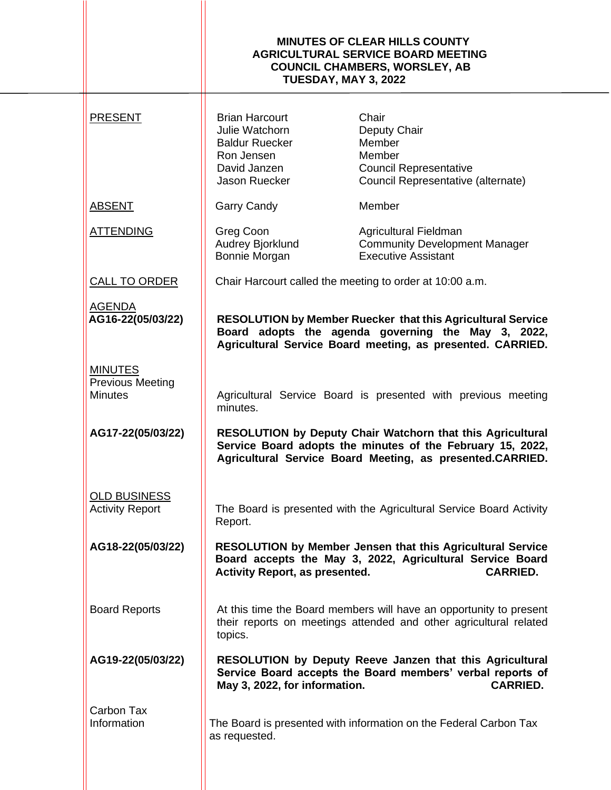|                                                             | <b>MINUTES OF CLEAR HILLS COUNTY</b><br><b>AGRICULTURAL SERVICE BOARD MEETING</b><br><b>COUNCIL CHAMBERS, WORSLEY, AB</b><br><b>TUESDAY, MAY 3, 2022</b>                                                                                                            |                                                                                                                                           |
|-------------------------------------------------------------|---------------------------------------------------------------------------------------------------------------------------------------------------------------------------------------------------------------------------------------------------------------------|-------------------------------------------------------------------------------------------------------------------------------------------|
| <b>PRESENT</b>                                              | <b>Brian Harcourt</b><br>Julie Watchorn<br><b>Baldur Ruecker</b><br>Ron Jensen<br>David Janzen<br>Jason Ruecker                                                                                                                                                     | Chair<br>Deputy Chair<br>Member<br>Member<br><b>Council Representative</b><br>Council Representative (alternate)                          |
| <b>ABSENT</b>                                               | <b>Garry Candy</b>                                                                                                                                                                                                                                                  | Member                                                                                                                                    |
| <b>ATTENDING</b>                                            | Greg Coon<br>Audrey Bjorklund<br>Bonnie Morgan                                                                                                                                                                                                                      | Agricultural Fieldman<br><b>Community Development Manager</b><br><b>Executive Assistant</b>                                               |
| CALL TO ORDER                                               |                                                                                                                                                                                                                                                                     | Chair Harcourt called the meeting to order at 10:00 a.m.                                                                                  |
| <b>AGENDA</b><br>AG16-22(05/03/22)                          | <b>RESOLUTION by Member Ruecker that this Agricultural Service</b><br>Board adopts the agenda governing the May 3, 2022,<br>Agricultural Service Board meeting, as presented. CARRIED.<br>Agricultural Service Board is presented with previous meeting<br>minutes. |                                                                                                                                           |
| <b>MINUTES</b><br><b>Previous Meeting</b><br><b>Minutes</b> |                                                                                                                                                                                                                                                                     |                                                                                                                                           |
| AG17-22(05/03/22)                                           | RESOLUTION by Deputy Chair Watchorn that this Agricultural<br>Service Board adopts the minutes of the February 15, 2022,<br>Agricultural Service Board Meeting, as presented.CARRIED.                                                                               |                                                                                                                                           |
| <b>OLD BUSINESS</b><br><b>Activity Report</b>               | The Board is presented with the Agricultural Service Board Activity<br>Report.                                                                                                                                                                                      |                                                                                                                                           |
| AG18-22(05/03/22)                                           | <b>RESOLUTION by Member Jensen that this Agricultural Service</b><br>Board accepts the May 3, 2022, Agricultural Service Board<br><b>Activity Report, as presented.</b><br><b>CARRIED.</b>                                                                          |                                                                                                                                           |
| <b>Board Reports</b>                                        | At this time the Board members will have an opportunity to present<br>their reports on meetings attended and other agricultural related<br>topics.                                                                                                                  |                                                                                                                                           |
| AG19-22(05/03/22)                                           | May 3, 2022, for information.                                                                                                                                                                                                                                       | RESOLUTION by Deputy Reeve Janzen that this Agricultural<br>Service Board accepts the Board members' verbal reports of<br><b>CARRIED.</b> |
| Carbon Tax<br>Information                                   | as requested.                                                                                                                                                                                                                                                       | The Board is presented with information on the Federal Carbon Tax                                                                         |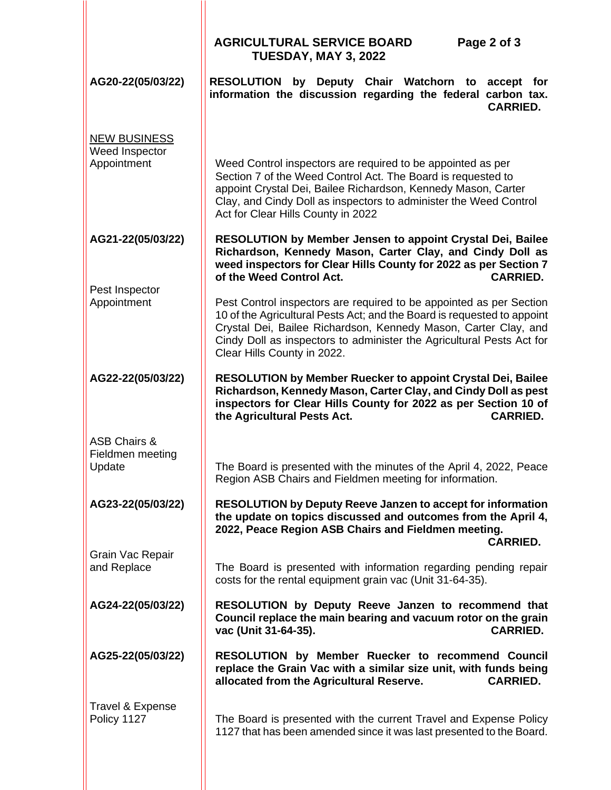|                                                       | <b>AGRICULTURAL SERVICE BOARD</b><br>Page 2 of 3<br><b>TUESDAY, MAY 3, 2022</b>                                                                                                                                                                                                                                           |  |  |
|-------------------------------------------------------|---------------------------------------------------------------------------------------------------------------------------------------------------------------------------------------------------------------------------------------------------------------------------------------------------------------------------|--|--|
| AG20-22(05/03/22)                                     | RESOLUTION by Deputy Chair Watchorn to accept for<br>information the discussion regarding the federal carbon tax.<br><b>CARRIED.</b>                                                                                                                                                                                      |  |  |
| <b>NEW BUSINESS</b><br>Weed Inspector<br>Appointment  | Weed Control inspectors are required to be appointed as per<br>Section 7 of the Weed Control Act. The Board is requested to<br>appoint Crystal Dei, Bailee Richardson, Kennedy Mason, Carter<br>Clay, and Cindy Doll as inspectors to administer the Weed Control<br>Act for Clear Hills County in 2022                   |  |  |
| AG21-22(05/03/22)                                     | RESOLUTION by Member Jensen to appoint Crystal Dei, Bailee<br>Richardson, Kennedy Mason, Carter Clay, and Cindy Doll as<br>weed inspectors for Clear Hills County for 2022 as per Section 7<br>of the Weed Control Act.<br><b>CARRIED.</b>                                                                                |  |  |
| Pest Inspector<br>Appointment                         | Pest Control inspectors are required to be appointed as per Section<br>10 of the Agricultural Pests Act; and the Board is requested to appoint<br>Crystal Dei, Bailee Richardson, Kennedy Mason, Carter Clay, and<br>Cindy Doll as inspectors to administer the Agricultural Pests Act for<br>Clear Hills County in 2022. |  |  |
| AG22-22(05/03/22)                                     | <b>RESOLUTION by Member Ruecker to appoint Crystal Dei, Bailee</b><br>Richardson, Kennedy Mason, Carter Clay, and Cindy Doll as pest<br>inspectors for Clear Hills County for 2022 as per Section 10 of<br>the Agricultural Pests Act.<br><b>CARRIED.</b>                                                                 |  |  |
| <b>ASB Chairs &amp;</b><br>Fieldmen meeting<br>Update | The Board is presented with the minutes of the April 4, 2022, Peace<br>Region ASB Chairs and Fieldmen meeting for information.                                                                                                                                                                                            |  |  |
| AG23-22(05/03/22)                                     | <b>RESOLUTION by Deputy Reeve Janzen to accept for information</b><br>the update on topics discussed and outcomes from the April 4,<br>2022, Peace Region ASB Chairs and Fieldmen meeting.<br><b>CARRIED.</b>                                                                                                             |  |  |
| Grain Vac Repair<br>and Replace                       | The Board is presented with information regarding pending repair<br>costs for the rental equipment grain vac (Unit 31-64-35).                                                                                                                                                                                             |  |  |
| AG24-22(05/03/22)                                     | RESOLUTION by Deputy Reeve Janzen to recommend that<br>Council replace the main bearing and vacuum rotor on the grain<br>vac (Unit 31-64-35).<br><b>CARRIED.</b>                                                                                                                                                          |  |  |
| AG25-22(05/03/22)                                     | RESOLUTION by Member Ruecker to recommend Council<br>replace the Grain Vac with a similar size unit, with funds being<br>allocated from the Agricultural Reserve.<br><b>CARRIED.</b>                                                                                                                                      |  |  |
| Travel & Expense<br>Policy 1127                       | The Board is presented with the current Travel and Expense Policy<br>1127 that has been amended since it was last presented to the Board.                                                                                                                                                                                 |  |  |
|                                                       |                                                                                                                                                                                                                                                                                                                           |  |  |